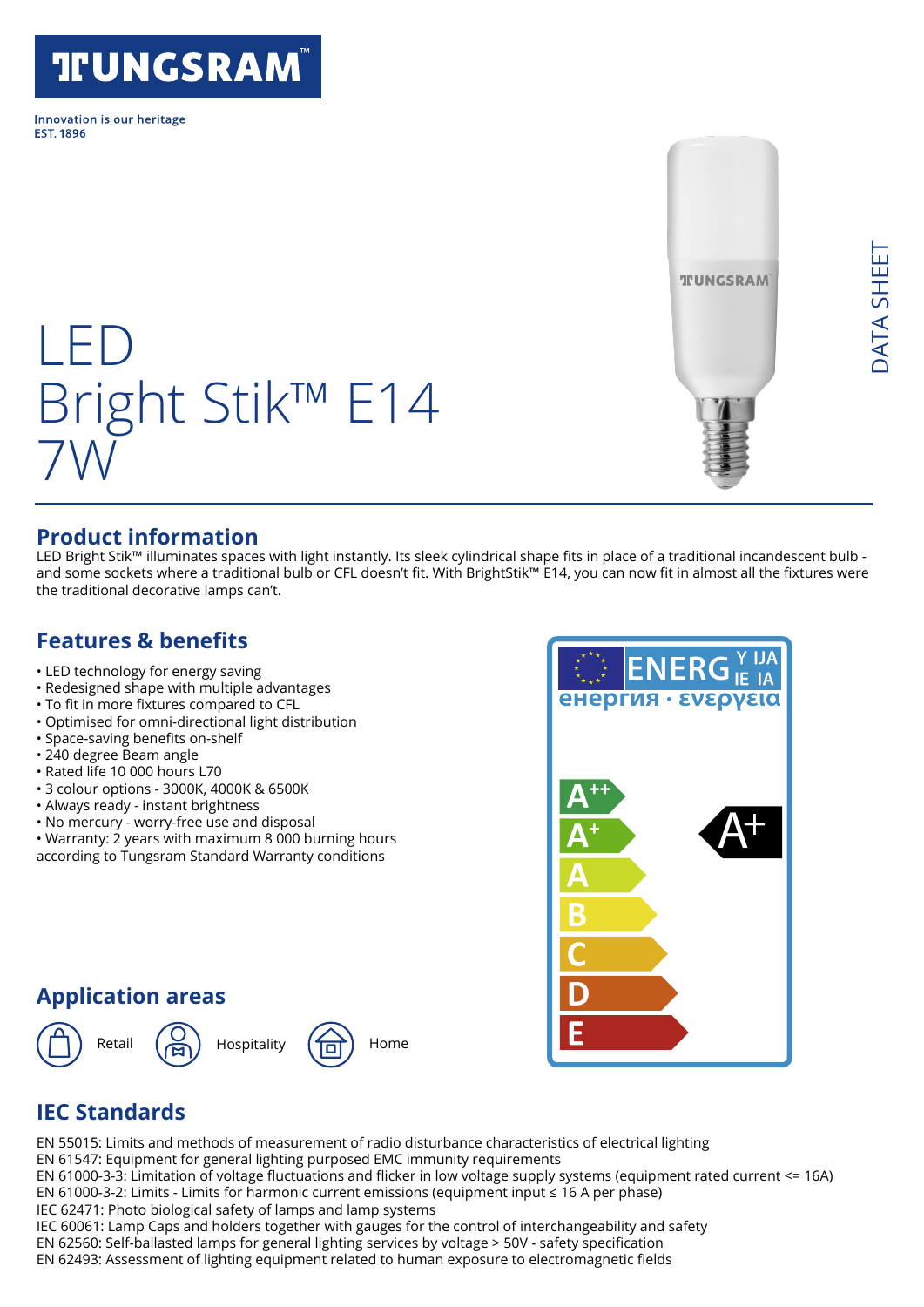# **TFUNGSRAM**

Innovation is our heritage **FST 1896** 

LED

7W

# **TUNGSRAM**

#### **Product information**

LED Bright Stik™ illuminates spaces with light instantly. Its sleek cylindrical shape fits in place of a traditional incandescent bulb and some sockets where a traditional bulb or CFL doesn't fit. With BrightStik™ E14, you can now fit in almost all the fixtures were the traditional decorative lamps can't.

#### **Features & benefits**

- LED technology for energy saving
- Redesigned shape with multiple advantages
- To fit in more fixtures compared to CFL
- Optimised for omni-directional light distribution

Bright Stik™ E14

- Space-saving benefits on-shelf
- 240 degree Beam angle
- Rated life 10 000 hours L70
- 3 colour options 3000K, 4000K & 6500K
- Always ready instant brightness
- No mercury worry-free use and disposal
- Warranty: 2 years with maximum 8 000 burning hours according to Tungsram Standard Warranty conditions

### **Application areas**





# **IEC Standards**

EN 55015: Limits and methods of measurement of radio disturbance characteristics of electrical lighting EN 61547: Equipment for general lighting purposed EMC immunity requirements EN 61000-3-3: Limitation of voltage fluctuations and flicker in low voltage supply systems (equipment rated current <= 16A) EN 61000-3-2: Limits - Limits for harmonic current emissions (equipment input ≤ 16 A per phase)

IEC 62471: Photo biological safety of lamps and lamp systems

IEC 60061: Lamp Caps and holders together with gauges for the control of interchangeability and safety

EN 62560: Self-ballasted lamps for general lighting services by voltage > 50V - safety specification

EN 62493: Assessment of lighting equipment related to human exposure to electromagnetic fields

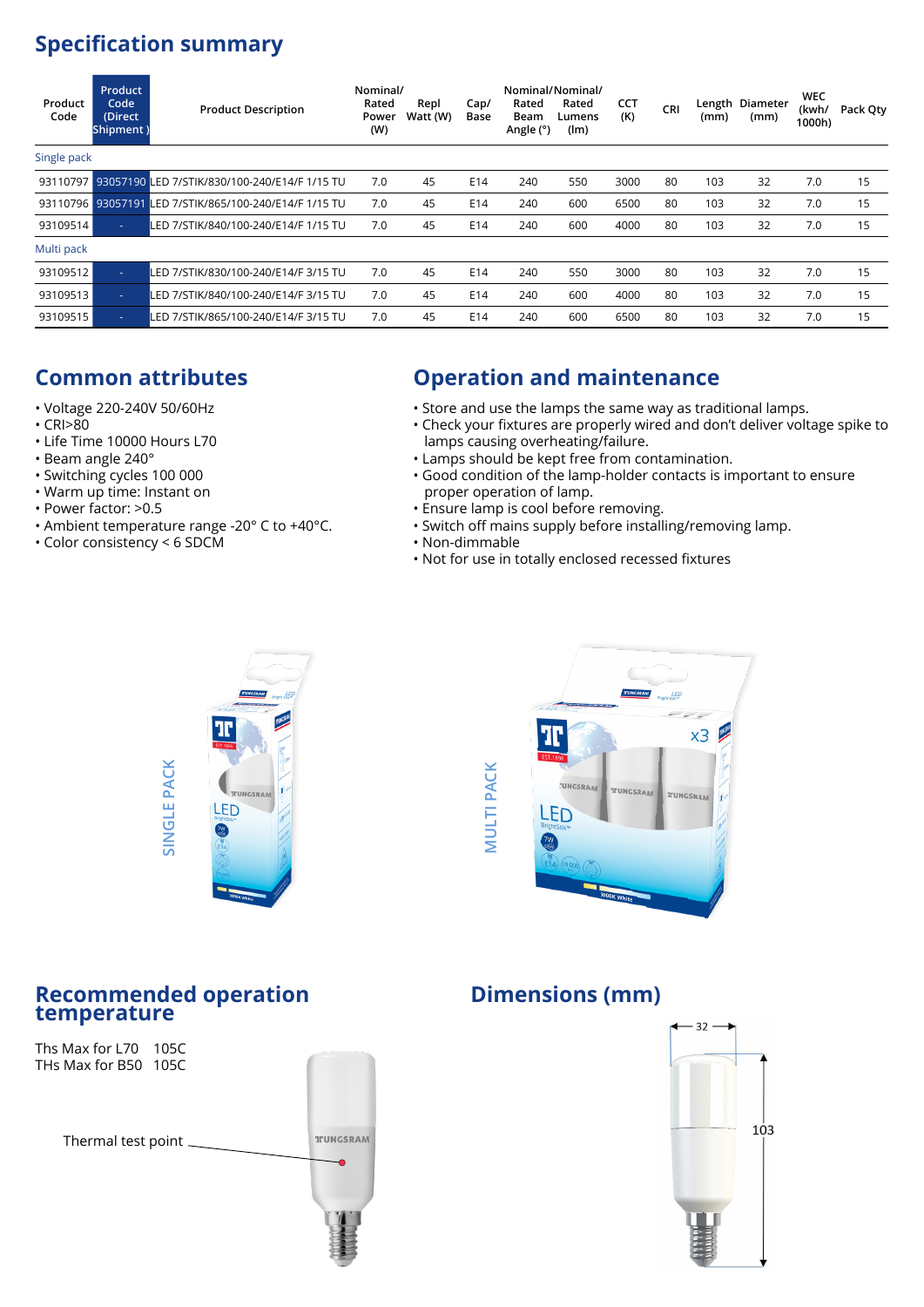# **Specification summary**

| Product<br>Code | <b>Product</b><br>Code<br>(Direct<br>Shipment) | <b>Product Description</b>                             | Nominal/<br>Rated<br>Power<br>(W) | Repl<br>Watt (W) | Cap/<br>Base | Rated<br>Beam<br>Angle (°) | Nominal/Nominal/<br>Rated<br>Lumens<br>(lm) | <b>CCT</b><br>(K) | CRI | (mm) | Length Diameter<br>(mm) | <b>WEC</b><br>(kwh/<br>1000h) | Pack Qty |
|-----------------|------------------------------------------------|--------------------------------------------------------|-----------------------------------|------------------|--------------|----------------------------|---------------------------------------------|-------------------|-----|------|-------------------------|-------------------------------|----------|
| Single pack     |                                                |                                                        |                                   |                  |              |                            |                                             |                   |     |      |                         |                               |          |
| 93110797        |                                                | 93057190 LED 7/STIK/830/100-240/E14/F 1/15 TU          | 7.0                               | 45               | E14          | 240                        | 550                                         | 3000              | 80  | 103  | 32                      | 7.0                           | 15       |
|                 |                                                | 93110796 93057191 LED 7/STIK/865/100-240/E14/F 1/15 TU | 7.0                               | 45               | E14          | 240                        | 600                                         | 6500              | 80  | 103  | 32                      | 7.0                           | 15       |
| 93109514        | ٠                                              | LED 7/STIK/840/100-240/E14/F 1/15 TU                   | 7.0                               | 45               | E14          | 240                        | 600                                         | 4000              | 80  | 103  | 32                      | 7.0                           | 15       |
| Multi pack      |                                                |                                                        |                                   |                  |              |                            |                                             |                   |     |      |                         |                               |          |
| 93109512        | ٠                                              | LED 7/STIK/830/100-240/E14/F 3/15 TU                   | 7.0                               | 45               | E14          | 240                        | 550                                         | 3000              | 80  | 103  | 32                      | 7.0                           | 15       |
| 93109513        | ٠                                              | LED 7/STIK/840/100-240/E14/F 3/15 TU                   | 7.0                               | 45               | E14          | 240                        | 600                                         | 4000              | 80  | 103  | 32                      | 7.0                           | 15       |
| 93109515        | ٠                                              | LED 7/STIK/865/100-240/E14/F 3/15 TU                   | 7.0                               | 45               | E14          | 240                        | 600                                         | 6500              | 80  | 103  | 32                      | 7.0                           | 15       |

# **Common attributes**

- Voltage 220-240V 50/60Hz
- CRI>80
- Life Time 10000 Hours L70
- Beam angle 240°
- Switching cycles 100 000
- Warm up time: Instant on
- Power factor: >0.5
- Ambient temperature range -20° C to +40°C.
- Color consistency < 6 SDCM

#### **Operation and maintenance**

- Store and use the lamps the same way as traditional lamps.
- Check your fixtures are properly wired and don't deliver voltage spike to lamps causing overheating/failure.
- Lamps should be kept free from contamination.
- Good condition of the lamp-holder contacts is important to ensure proper operation of lamp.
- Ensure lamp is cool before removing.
- Switch off mains supply before installing/removing lamp.
- Non-dimmable
	- Not for use in totally enclosed recessed fixtures





#### **Recommended operation temperature**



#### **Dimensions (mm)**